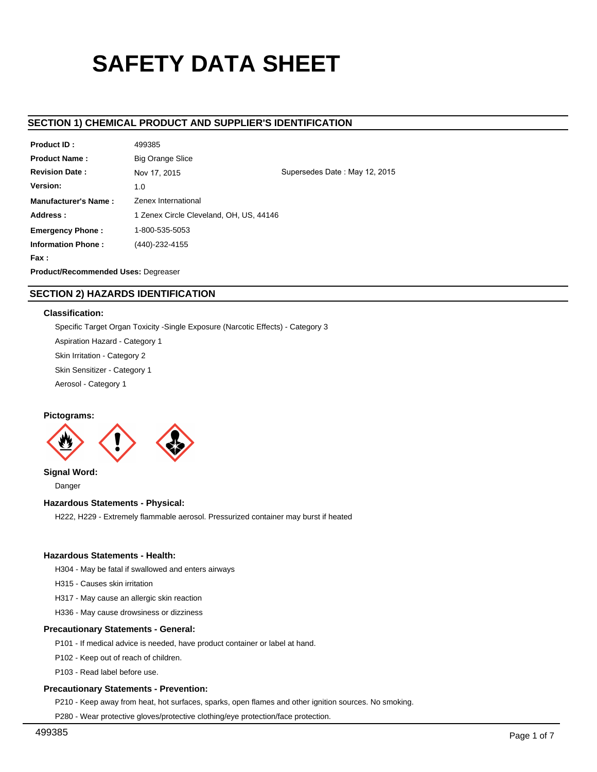# **SAFETY DATA SHEET**

# **SECTION 1) CHEMICAL PRODUCT AND SUPPLIER'S IDENTIFICATION**

| <b>Product ID:</b>                  | Simoniz Big Orange Crush S3383012      |                               |  |  |  |
|-------------------------------------|----------------------------------------|-------------------------------|--|--|--|
| <b>Product Name:</b>                | Simoniz Big Orange Crush S3383012      |                               |  |  |  |
| <b>Revision Date:</b>               | Nov 17, 2015                           | Supersedes Date: May 12, 2015 |  |  |  |
| Version:                            | 1.0                                    |                               |  |  |  |
| Distributor's Name:                 | SIMONIZ USA, INC.                      |                               |  |  |  |
| Address:                            | 201 BOSTON TURNPIKE - BOLTON, CT 06043 |                               |  |  |  |
| <b>Emergency Phone:</b>             | 1-800-535-5053                         |                               |  |  |  |
| <b>Information Phone:</b>           | (860) 646-0172                         |                               |  |  |  |
| Fax :                               |                                        |                               |  |  |  |
| Product/Recommended Uses: Degreaser |                                        |                               |  |  |  |

# **SECTION 2) HAZARDS IDENTIFICATION**

## **Classification:**

Specific Target Organ Toxicity -Single Exposure (Narcotic Effects) - Category 3 Aspiration Hazard - Category 1 Skin Irritation - Category 2 Skin Sensitizer - Category 1 Aerosol - Category 1

## **Pictograms:**



**Signal Word:**

Danger

## **Hazardous Statements - Physical:**

H222, H229 - Extremely flammable aerosol. Pressurized container may burst if heated

## **Hazardous Statements - Health:**

H304 - May be fatal if swallowed and enters airways

H315 - Causes skin irritation

H317 - May cause an allergic skin reaction

H336 - May cause drowsiness or dizziness

# **Precautionary Statements - General:**

P101 - If medical advice is needed, have product container or label at hand.

P102 - Keep out of reach of children.

P103 - Read label before use.

## **Precautionary Statements - Prevention:**

P210 - Keep away from heat, hot surfaces, sparks, open flames and other ignition sources. No smoking.

P280 - Wear protective gloves/protective clothing/eye protection/face protection.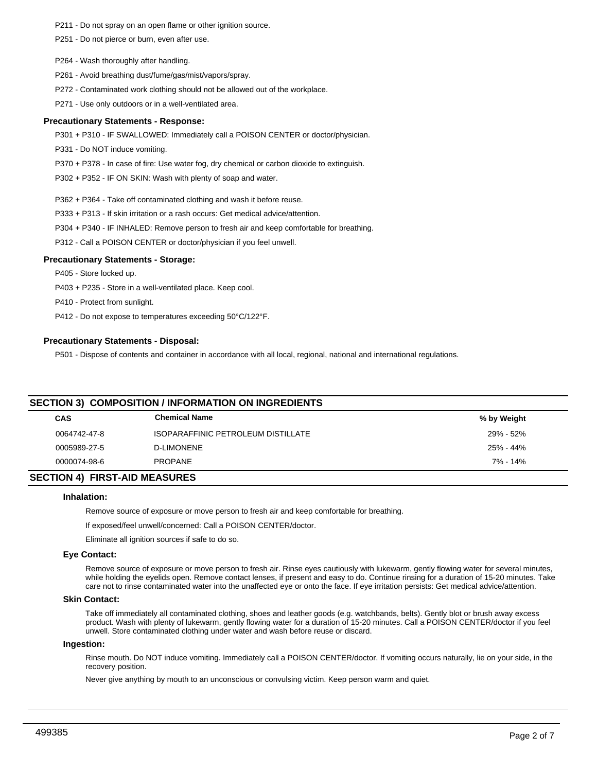- P211 Do not spray on an open flame or other ignition source.
- P251 Do not pierce or burn, even after use.
- P264 Wash thoroughly after handling.
- P261 Avoid breathing dust/fume/gas/mist/vapors/spray.
- P272 Contaminated work clothing should not be allowed out of the workplace.
- P271 Use only outdoors or in a well-ventilated area.

### **Precautionary Statements - Response:**

- P301 + P310 IF SWALLOWED: Immediately call a POISON CENTER or doctor/physician.
- P331 Do NOT induce vomiting.
- P370 + P378 In case of fire: Use water fog, dry chemical or carbon dioxide to extinguish.
- P302 + P352 IF ON SKIN: Wash with plenty of soap and water.
- P362 + P364 Take off contaminated clothing and wash it before reuse.
- P333 + P313 If skin irritation or a rash occurs: Get medical advice/attention.
- P304 + P340 IF INHALED: Remove person to fresh air and keep comfortable for breathing.
- P312 Call a POISON CENTER or doctor/physician if you feel unwell.

#### **Precautionary Statements - Storage:**

- P405 Store locked up.
- P403 + P235 Store in a well-ventilated place. Keep cool.
- P410 Protect from sunlight.
- P412 Do not expose to temperatures exceeding 50°C/122°F.

#### **Precautionary Statements - Disposal:**

P501 - Dispose of contents and container in accordance with all local, regional, national and international regulations.

| <b>SECTION 3) COMPOSITION / INFORMATION ON INGREDIENTS</b> |                                           |             |  |  |  |
|------------------------------------------------------------|-------------------------------------------|-------------|--|--|--|
| <b>CAS</b>                                                 | <b>Chemical Name</b>                      | % by Weight |  |  |  |
| 0064742-47-8                                               | <b>ISOPARAFFINIC PETROLEUM DISTILLATE</b> | 29% - 52%   |  |  |  |
| 0005989-27-5                                               | <b>D-LIMONENE</b>                         | 25% - 44%   |  |  |  |
| 0000074-98-6                                               | PROPANE                                   | 7% - 14%    |  |  |  |
|                                                            |                                           |             |  |  |  |

#### **SECTION 4) FIRST-AID MEASURES**

## **Inhalation:**

Remove source of exposure or move person to fresh air and keep comfortable for breathing.

If exposed/feel unwell/concerned: Call a POISON CENTER/doctor.

Eliminate all ignition sources if safe to do so.

#### **Eye Contact:**

Remove source of exposure or move person to fresh air. Rinse eyes cautiously with lukewarm, gently flowing water for several minutes, while holding the eyelids open. Remove contact lenses, if present and easy to do. Continue rinsing for a duration of 15-20 minutes. Take care not to rinse contaminated water into the unaffected eye or onto the face. If eye irritation persists: Get medical advice/attention.

## **Skin Contact:**

Take off immediately all contaminated clothing, shoes and leather goods (e.g. watchbands, belts). Gently blot or brush away excess product. Wash with plenty of lukewarm, gently flowing water for a duration of 15-20 minutes. Call a POISON CENTER/doctor if you feel unwell. Store contaminated clothing under water and wash before reuse or discard.

## **Ingestion:**

Rinse mouth. Do NOT induce vomiting. Immediately call a POISON CENTER/doctor. If vomiting occurs naturally, lie on your side, in the recovery position.

Never give anything by mouth to an unconscious or convulsing victim. Keep person warm and quiet.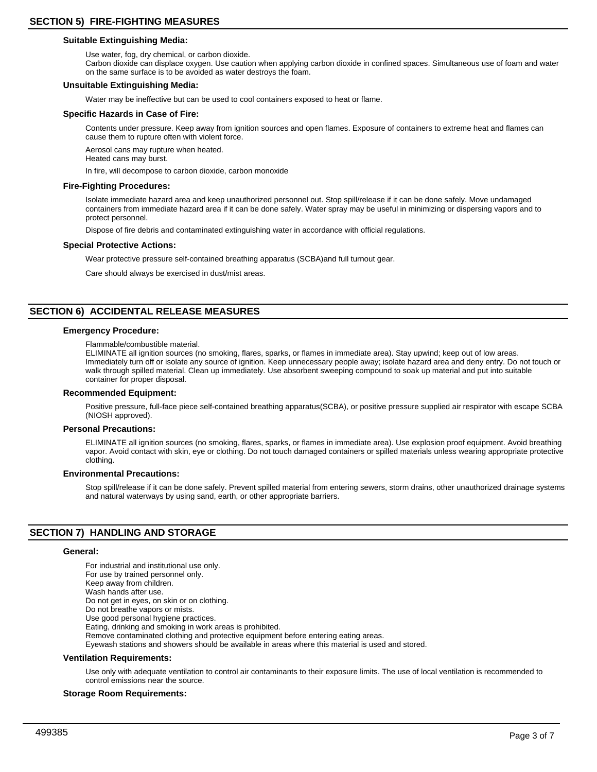## **Suitable Extinguishing Media:**

Use water, fog, dry chemical, or carbon dioxide.

Carbon dioxide can displace oxygen. Use caution when applying carbon dioxide in confined spaces. Simultaneous use of foam and water on the same surface is to be avoided as water destroys the foam.

### **Unsuitable Extinguishing Media:**

Water may be ineffective but can be used to cool containers exposed to heat or flame.

#### **Specific Hazards in Case of Fire:**

Contents under pressure. Keep away from ignition sources and open flames. Exposure of containers to extreme heat and flames can cause them to rupture often with violent force.

Aerosol cans may rupture when heated. Heated cans may burst.

In fire, will decompose to carbon dioxide, carbon monoxide

#### **Fire-Fighting Procedures:**

Isolate immediate hazard area and keep unauthorized personnel out. Stop spill/release if it can be done safely. Move undamaged containers from immediate hazard area if it can be done safely. Water spray may be useful in minimizing or dispersing vapors and to protect personnel.

Dispose of fire debris and contaminated extinguishing water in accordance with official regulations.

#### **Special Protective Actions:**

Wear protective pressure self-contained breathing apparatus (SCBA)and full turnout gear.

Care should always be exercised in dust/mist areas.

# **SECTION 6) ACCIDENTAL RELEASE MEASURES**

#### **Emergency Procedure:**

Flammable/combustible material.

ELIMINATE all ignition sources (no smoking, flares, sparks, or flames in immediate area). Stay upwind; keep out of low areas. Immediately turn off or isolate any source of ignition. Keep unnecessary people away; isolate hazard area and deny entry. Do not touch or walk through spilled material. Clean up immediately. Use absorbent sweeping compound to soak up material and put into suitable container for proper disposal.

#### **Recommended Equipment:**

Positive pressure, full-face piece self-contained breathing apparatus(SCBA), or positive pressure supplied air respirator with escape SCBA (NIOSH approved).

#### **Personal Precautions:**

ELIMINATE all ignition sources (no smoking, flares, sparks, or flames in immediate area). Use explosion proof equipment. Avoid breathing vapor. Avoid contact with skin, eye or clothing. Do not touch damaged containers or spilled materials unless wearing appropriate protective clothing.

#### **Environmental Precautions:**

Stop spill/release if it can be done safely. Prevent spilled material from entering sewers, storm drains, other unauthorized drainage systems and natural waterways by using sand, earth, or other appropriate barriers.

## **SECTION 7) HANDLING AND STORAGE**

#### **General:**

For industrial and institutional use only. For use by trained personnel only. Keep away from children. Wash hands after use. Do not get in eyes, on skin or on clothing. Do not breathe vapors or mists. Use good personal hygiene practices. Eating, drinking and smoking in work areas is prohibited. Remove contaminated clothing and protective equipment before entering eating areas. Eyewash stations and showers should be available in areas where this material is used and stored.

#### **Ventilation Requirements:**

Use only with adequate ventilation to control air contaminants to their exposure limits. The use of local ventilation is recommended to control emissions near the source.

## **Storage Room Requirements:**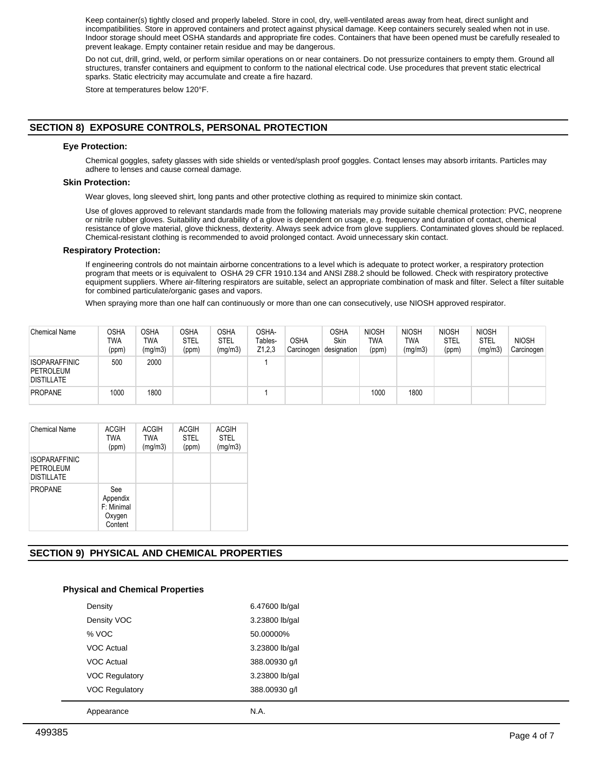Keep container(s) tightly closed and properly labeled. Store in cool, dry, well-ventilated areas away from heat, direct sunlight and incompatibilities. Store in approved containers and protect against physical damage. Keep containers securely sealed when not in use. Indoor storage should meet OSHA standards and appropriate fire codes. Containers that have been opened must be carefully resealed to prevent leakage. Empty container retain residue and may be dangerous.

Do not cut, drill, grind, weld, or perform similar operations on or near containers. Do not pressurize containers to empty them. Ground all structures, transfer containers and equipment to conform to the national electrical code. Use procedures that prevent static electrical sparks. Static electricity may accumulate and create a fire hazard.

Store at temperatures below 120°F.

# **SECTION 8) EXPOSURE CONTROLS, PERSONAL PROTECTION**

### **Eye Protection:**

Chemical goggles, safety glasses with side shields or vented/splash proof goggles. Contact lenses may absorb irritants. Particles may adhere to lenses and cause corneal damage.

#### **Skin Protection:**

Wear gloves, long sleeved shirt, long pants and other protective clothing as required to minimize skin contact.

Use of gloves approved to relevant standards made from the following materials may provide suitable chemical protection: PVC, neoprene or nitrile rubber gloves. Suitability and durability of a glove is dependent on usage, e.g. frequency and duration of contact, chemical resistance of glove material, glove thickness, dexterity. Always seek advice from glove suppliers. Contaminated gloves should be replaced. Chemical-resistant clothing is recommended to avoid prolonged contact. Avoid unnecessary skin contact.

#### **Respiratory Protection:**

If engineering controls do not maintain airborne concentrations to a level which is adequate to protect worker, a respiratory protection program that meets or is equivalent to OSHA 29 CFR 1910.134 and ANSI Z88.2 should be followed. Check with respiratory protective equipment suppliers. Where air-filtering respirators are suitable, select an appropriate combination of mask and filter. Select a filter suitable for combined particulate/organic gases and vapors.

When spraying more than one half can continuously or more than one can consecutively, use NIOSH approved respirator.

| <b>Chemical Name</b>                                   | OSHA<br>TWA<br>(ppm) | <b>OSHA</b><br>TWA<br>(mg/m3) | <b>OSHA</b><br><b>STEL</b><br>(ppm) | OSHA<br><b>STEL</b><br>(mg/m3) | OSHA-<br>Tables-<br>Z1,2,3 | <b>OSHA</b><br>Carcinogen | <b>OSHA</b><br>Skin<br>designation | <b>NIOSH</b><br><b>TWA</b><br>(ppm) | <b>NIOSH</b><br><b>TWA</b><br>(mg/m3) | <b>NIOSH</b><br>STEL<br>(ppm) | <b>NIOSH</b><br><b>STEL</b><br>(mg/m3) | <b>NIOSH</b><br>Carcinogen |
|--------------------------------------------------------|----------------------|-------------------------------|-------------------------------------|--------------------------------|----------------------------|---------------------------|------------------------------------|-------------------------------------|---------------------------------------|-------------------------------|----------------------------------------|----------------------------|
| <b>ISOPARAFFINIC</b><br>PETROLEUM<br><b>DISTILLATE</b> | 500                  | 2000                          |                                     |                                |                            |                           |                                    |                                     |                                       |                               |                                        |                            |
| <b>PROPANE</b>                                         | 1000                 | 1800                          |                                     |                                |                            |                           |                                    | 1000                                | 1800                                  |                               |                                        |                            |

| <b>Chemical Name</b>                                   | <b>ACGIH</b><br>TWA<br>(ppm)                       | <b>ACGIH</b><br><b>TWA</b><br>(mg/m3) | <b>ACGIH</b><br><b>STEL</b><br>(ppm) | <b>ACGIH</b><br><b>STEL</b><br>(mg/m3) |
|--------------------------------------------------------|----------------------------------------------------|---------------------------------------|--------------------------------------|----------------------------------------|
| <b>ISOPARAFFINIC</b><br>PETROLEUM<br><b>DISTILLATE</b> |                                                    |                                       |                                      |                                        |
| <b>PROPANE</b>                                         | See<br>Appendix<br>F: Minimal<br>Oxygen<br>Content |                                       |                                      |                                        |

# **SECTION 9) PHYSICAL AND CHEMICAL PROPERTIES**

## **Physical and Chemical Properties**

| Appearance            | N.A.           |
|-----------------------|----------------|
| <b>VOC Regulatory</b> | 388.00930 g/l  |
| <b>VOC Regulatory</b> | 3.23800 lb/gal |
| <b>VOC Actual</b>     | 388.00930 g/l  |
| <b>VOC Actual</b>     | 3.23800 lb/gal |
| % VOC                 | 50.00000%      |
| Density VOC           | 3.23800 lb/gal |
| Density               | 6.47600 lb/gal |
|                       |                |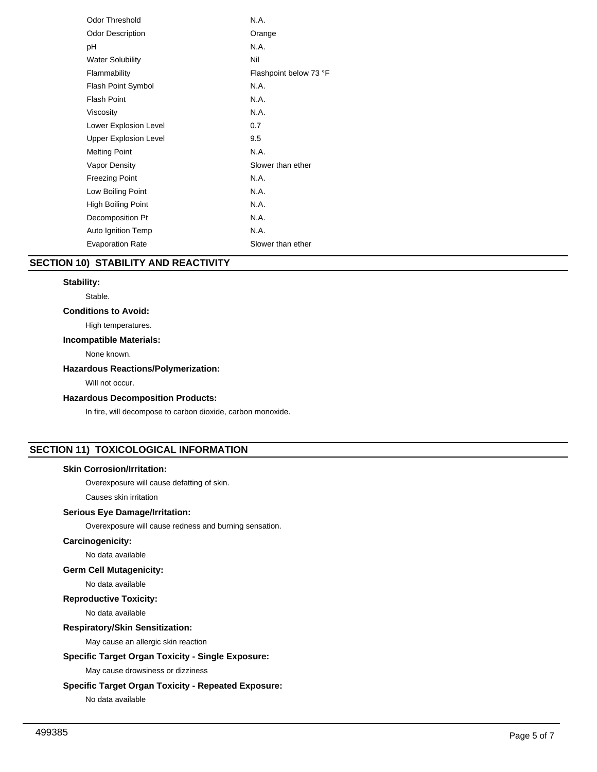| <b>Odor Threshold</b>        | N.A.                   |
|------------------------------|------------------------|
| <b>Odor Description</b>      | Orange                 |
| рH                           | N.A.                   |
| <b>Water Solubility</b>      | Nil                    |
| Flammability                 | Flashpoint below 73 °F |
| Flash Point Symbol           | N.A.                   |
| <b>Flash Point</b>           | N.A.                   |
| Viscosity                    | N.A.                   |
| Lower Explosion Level        | 0.7                    |
| <b>Upper Explosion Level</b> | 9.5                    |
| <b>Melting Point</b>         | N.A.                   |
| Vapor Density                | Slower than ether      |
| <b>Freezing Point</b>        | N.A.                   |
| Low Boiling Point            | N.A.                   |
| High Boiling Point           | N.A.                   |
| Decomposition Pt             | N.A.                   |
| Auto Ignition Temp           | N.A.                   |
| <b>Evaporation Rate</b>      | Slower than ether      |

# **SECTION 10) STABILITY AND REACTIVITY**

## **Stability:**

Stable.

## **Conditions to Avoid:**

High temperatures.

## **Incompatible Materials:**

None known.

# **Hazardous Reactions/Polymerization:**

Will not occur.

# **Hazardous Decomposition Products:**

In fire, will decompose to carbon dioxide, carbon monoxide.

# **SECTION 11) TOXICOLOGICAL INFORMATION**

## **Skin Corrosion/Irritation:**

Overexposure will cause defatting of skin.

Causes skin irritation

## **Serious Eye Damage/Irritation:**

Overexposure will cause redness and burning sensation.

# **Carcinogenicity:**

No data available

# **Germ Cell Mutagenicity:**

No data available

#### **Reproductive Toxicity:**

No data available

## **Respiratory/Skin Sensitization:**

May cause an allergic skin reaction

## **Specific Target Organ Toxicity - Single Exposure:**

May cause drowsiness or dizziness

# **Specific Target Organ Toxicity - Repeated Exposure:**

No data available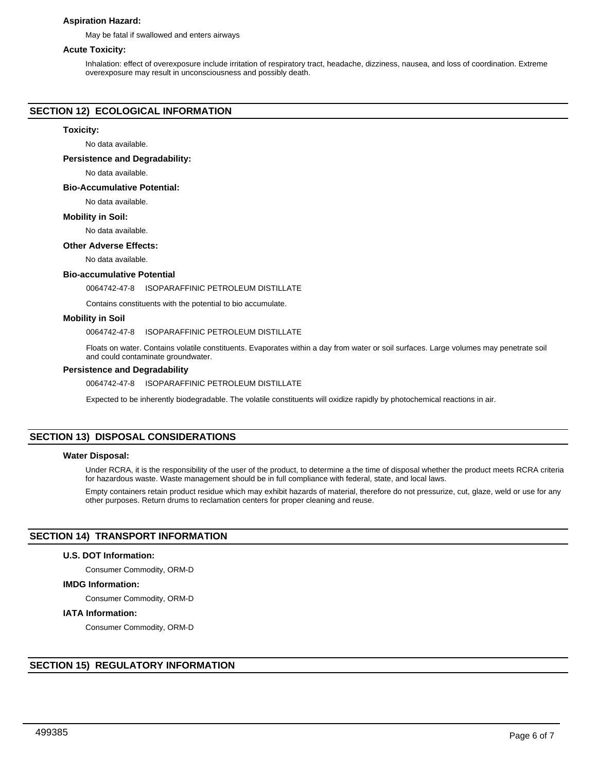## **Aspiration Hazard:**

May be fatal if swallowed and enters airways

# **Acute Toxicity:**

Inhalation: effect of overexposure include irritation of respiratory tract, headache, dizziness, nausea, and loss of coordination. Extreme overexposure may result in unconsciousness and possibly death.

## **SECTION 12) ECOLOGICAL INFORMATION**

#### **Toxicity:**

No data available.

**Persistence and Degradability:**

No data available.

#### **Bio-Accumulative Potential:**

No data available.

#### **Mobility in Soil:**

No data available.

#### **Other Adverse Effects:**

No data available.

#### **Bio-accumulative Potential**

#### 0064742-47-8 ISOPARAFFINIC PETROLEUM DISTILLATE

Contains constituents with the potential to bio accumulate.

## **Mobility in Soil**

0064742-47-8 ISOPARAFFINIC PETROLEUM DISTILLATE

Floats on water. Contains volatile constituents. Evaporates within a day from water or soil surfaces. Large volumes may penetrate soil and could contaminate groundwater.

#### **Persistence and Degradability**

0064742-47-8 ISOPARAFFINIC PETROLEUM DISTILLATE

Expected to be inherently biodegradable. The volatile constituents will oxidize rapidly by photochemical reactions in air.

## **SECTION 13) DISPOSAL CONSIDERATIONS**

### **Water Disposal:**

Under RCRA, it is the responsibility of the user of the product, to determine a the time of disposal whether the product meets RCRA criteria for hazardous waste. Waste management should be in full compliance with federal, state, and local laws.

Empty containers retain product residue which may exhibit hazards of material, therefore do not pressurize, cut, glaze, weld or use for any other purposes. Return drums to reclamation centers for proper cleaning and reuse.

# **SECTION 14) TRANSPORT INFORMATION**

## **U.S. DOT Information:**

Consumer Commodity, ORM-D

## **IMDG Information:**

Consumer Commodity, ORM-D

## **IATA Information:**

Consumer Commodity, ORM-D

## **SECTION 15) REGULATORY INFORMATION**